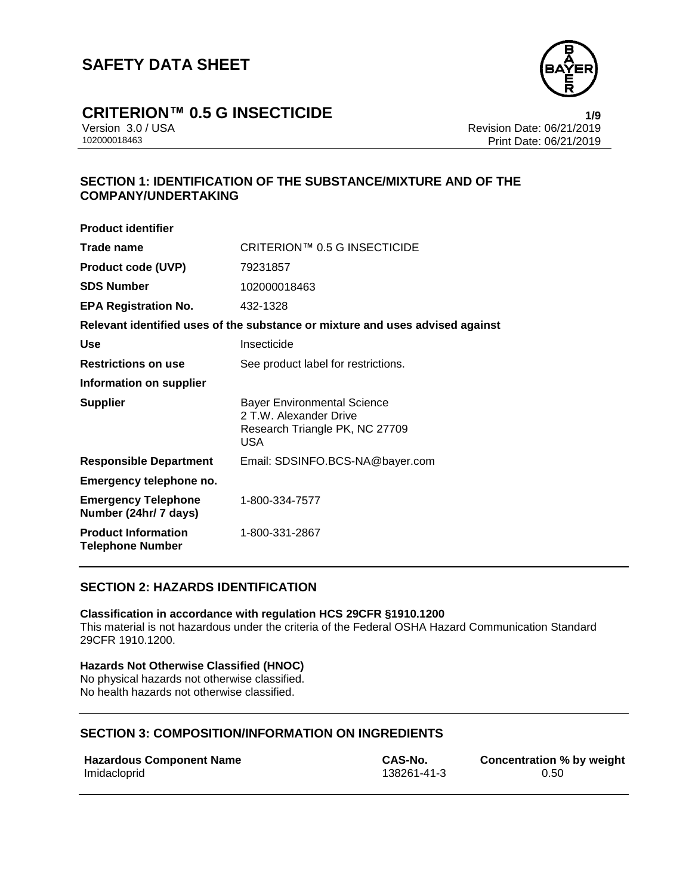

**by weight** 

# **CRITERION™ 0.5 G INSECTICIDE 1/9**

Version 3.0 / USA Revision Date: 06/21/2019 Print Date: 06/21/2019

# **SECTION 1: IDENTIFICATION OF THE SUBSTANCE/MIXTURE AND OF THE COMPANY/UNDERTAKING**

| CRITERION™ 0.5 G INSECTICIDE                                                                                 |  |  |  |
|--------------------------------------------------------------------------------------------------------------|--|--|--|
| 79231857                                                                                                     |  |  |  |
| 102000018463                                                                                                 |  |  |  |
| 432-1328                                                                                                     |  |  |  |
| Relevant identified uses of the substance or mixture and uses advised against                                |  |  |  |
| Insecticide                                                                                                  |  |  |  |
| See product label for restrictions.                                                                          |  |  |  |
|                                                                                                              |  |  |  |
| <b>Bayer Environmental Science</b><br>2 T.W. Alexander Drive<br>Research Triangle PK, NC 27709<br><b>USA</b> |  |  |  |
| Email: SDSINFO.BCS-NA@bayer.com                                                                              |  |  |  |
|                                                                                                              |  |  |  |
| 1-800-334-7577                                                                                               |  |  |  |
| 1-800-331-2867                                                                                               |  |  |  |
|                                                                                                              |  |  |  |

## **SECTION 2: HAZARDS IDENTIFICATION**

### **Classification in accordance with regulation HCS 29CFR §1910.1200**

This material is not hazardous under the criteria of the Federal OSHA Hazard Communication Standard 29CFR 1910.1200.

### **Hazards Not Otherwise Classified (HNOC)**

No physical hazards not otherwise classified. No health hazards not otherwise classified.

# **SECTION 3: COMPOSITION/INFORMATION ON INGREDIENTS**

| <b>Hazardous Component Name</b> | CAS-No.     | <b>Concentration %</b> |
|---------------------------------|-------------|------------------------|
| Imidacloprid                    | 138261-41-3 | 0.50                   |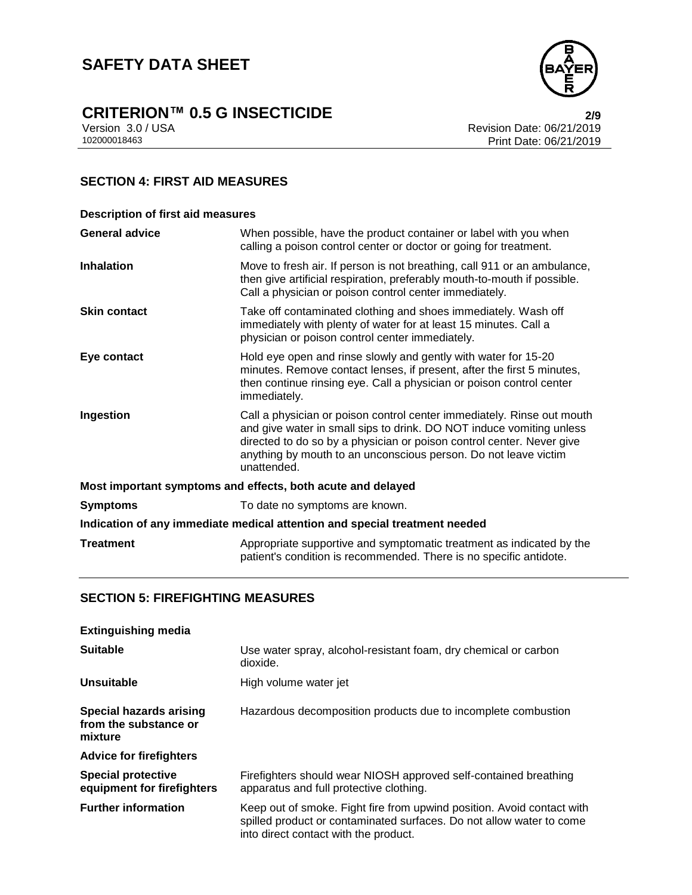# **CRITERION™ 0.5 G INSECTICIDE**<br>Version 3.0 / USA **2/9**<br>Revision Date: 06/21/2019

Version 3.0 / USA Revision Date: 06/21/2019<br>102000018463 Print Date: 06/21/2019 Print Date: 06/21/2019

# **SECTION 4: FIRST AID MEASURES**

| <b>Description of first aid measures</b>                                   |                                                                                                                                                                                                                                                                                                           |  |
|----------------------------------------------------------------------------|-----------------------------------------------------------------------------------------------------------------------------------------------------------------------------------------------------------------------------------------------------------------------------------------------------------|--|
| <b>General advice</b>                                                      | When possible, have the product container or label with you when<br>calling a poison control center or doctor or going for treatment.                                                                                                                                                                     |  |
| <b>Inhalation</b>                                                          | Move to fresh air. If person is not breathing, call 911 or an ambulance,<br>then give artificial respiration, preferably mouth-to-mouth if possible.<br>Call a physician or poison control center immediately.                                                                                            |  |
| <b>Skin contact</b>                                                        | Take off contaminated clothing and shoes immediately. Wash off<br>immediately with plenty of water for at least 15 minutes. Call a<br>physician or poison control center immediately.                                                                                                                     |  |
| Eye contact                                                                | Hold eye open and rinse slowly and gently with water for 15-20<br>minutes. Remove contact lenses, if present, after the first 5 minutes,<br>then continue rinsing eye. Call a physician or poison control center<br>immediately.                                                                          |  |
| Ingestion                                                                  | Call a physician or poison control center immediately. Rinse out mouth<br>and give water in small sips to drink. DO NOT induce vomiting unless<br>directed to do so by a physician or poison control center. Never give<br>anything by mouth to an unconscious person. Do not leave victim<br>unattended. |  |
| Most important symptoms and effects, both acute and delayed                |                                                                                                                                                                                                                                                                                                           |  |
| <b>Symptoms</b>                                                            | To date no symptoms are known.                                                                                                                                                                                                                                                                            |  |
| Indication of any immediate medical attention and special treatment needed |                                                                                                                                                                                                                                                                                                           |  |
| <b>Treatment</b>                                                           | Appropriate supportive and symptomatic treatment as indicated by the<br>patient's condition is recommended. There is no specific antidote.                                                                                                                                                                |  |

# **SECTION 5: FIREFIGHTING MEASURES**

| <b>Extinguishing media</b>                                  |                                                                                                                                                                                         |
|-------------------------------------------------------------|-----------------------------------------------------------------------------------------------------------------------------------------------------------------------------------------|
| <b>Suitable</b>                                             | Use water spray, alcohol-resistant foam, dry chemical or carbon<br>dioxide.                                                                                                             |
| Unsuitable                                                  | High volume water jet                                                                                                                                                                   |
| Special hazards arising<br>from the substance or<br>mixture | Hazardous decomposition products due to incomplete combustion                                                                                                                           |
| <b>Advice for firefighters</b>                              |                                                                                                                                                                                         |
| <b>Special protective</b><br>equipment for firefighters     | Firefighters should wear NIOSH approved self-contained breathing<br>apparatus and full protective clothing.                                                                             |
| <b>Further information</b>                                  | Keep out of smoke. Fight fire from upwind position. Avoid contact with<br>spilled product or contaminated surfaces. Do not allow water to come<br>into direct contact with the product. |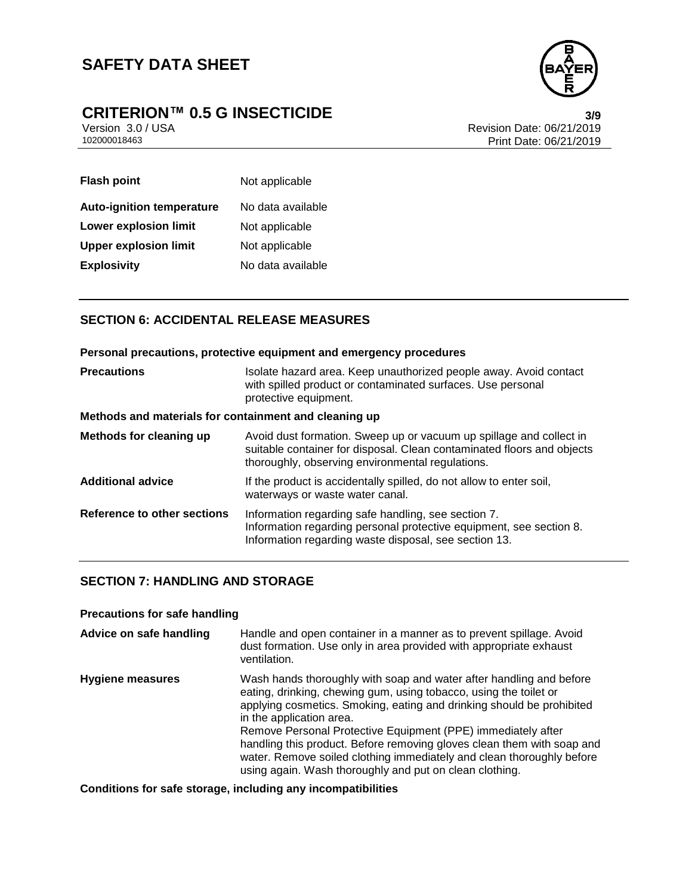

# **CRITERION™ 0.5 G INSECTICIDE**<br>Version 3.0 / USA **3/9**<br>Revision Date: 06/21/2019

Version 3.0 / USA Revision Date: 06/21/2019 Print Date: 06/21/2019

| <b>Flash point</b>               | Not applicable    |
|----------------------------------|-------------------|
| <b>Auto-ignition temperature</b> | No data available |
| <b>Lower explosion limit</b>     | Not applicable    |
| <b>Upper explosion limit</b>     | Not applicable    |
| <b>Explosivity</b>               | No data available |

# **SECTION 6: ACCIDENTAL RELEASE MEASURES**

|                                                       | Personal precautions, protective equipment and emergency procedures                                                                                                                               |
|-------------------------------------------------------|---------------------------------------------------------------------------------------------------------------------------------------------------------------------------------------------------|
| <b>Precautions</b>                                    | Isolate hazard area. Keep unauthorized people away. Avoid contact<br>with spilled product or contaminated surfaces. Use personal<br>protective equipment.                                         |
| Methods and materials for containment and cleaning up |                                                                                                                                                                                                   |
| Methods for cleaning up                               | Avoid dust formation. Sweep up or vacuum up spillage and collect in<br>suitable container for disposal. Clean contaminated floors and objects<br>thoroughly, observing environmental regulations. |
| <b>Additional advice</b>                              | If the product is accidentally spilled, do not allow to enter soil,<br>waterways or waste water canal.                                                                                            |
|                                                       | Bafananaa ta'atkan aaatkana kufamaatkan namaniin maafa kan diina 7                                                                                                                                |

| Reference to other sections | Information regarding safe handling, see section 7.                 |  |
|-----------------------------|---------------------------------------------------------------------|--|
|                             | Information regarding personal protective equipment, see section 8. |  |
|                             | Information regarding waste disposal, see section 13.               |  |

# **SECTION 7: HANDLING AND STORAGE**

### **Precautions for safe handling**

| Advice on safe handling | Handle and open container in a manner as to prevent spillage. Avoid<br>dust formation. Use only in area provided with appropriate exhaust<br>ventilation.                                                                                                                                                                                                                                                                                                                                                                   |
|-------------------------|-----------------------------------------------------------------------------------------------------------------------------------------------------------------------------------------------------------------------------------------------------------------------------------------------------------------------------------------------------------------------------------------------------------------------------------------------------------------------------------------------------------------------------|
| Hygiene measures        | Wash hands thoroughly with soap and water after handling and before<br>eating, drinking, chewing gum, using tobacco, using the toilet or<br>applying cosmetics. Smoking, eating and drinking should be prohibited<br>in the application area.<br>Remove Personal Protective Equipment (PPE) immediately after<br>handling this product. Before removing gloves clean them with soap and<br>water. Remove soiled clothing immediately and clean thoroughly before<br>using again. Wash thoroughly and put on clean clothing. |

**Conditions for safe storage, including any incompatibilities**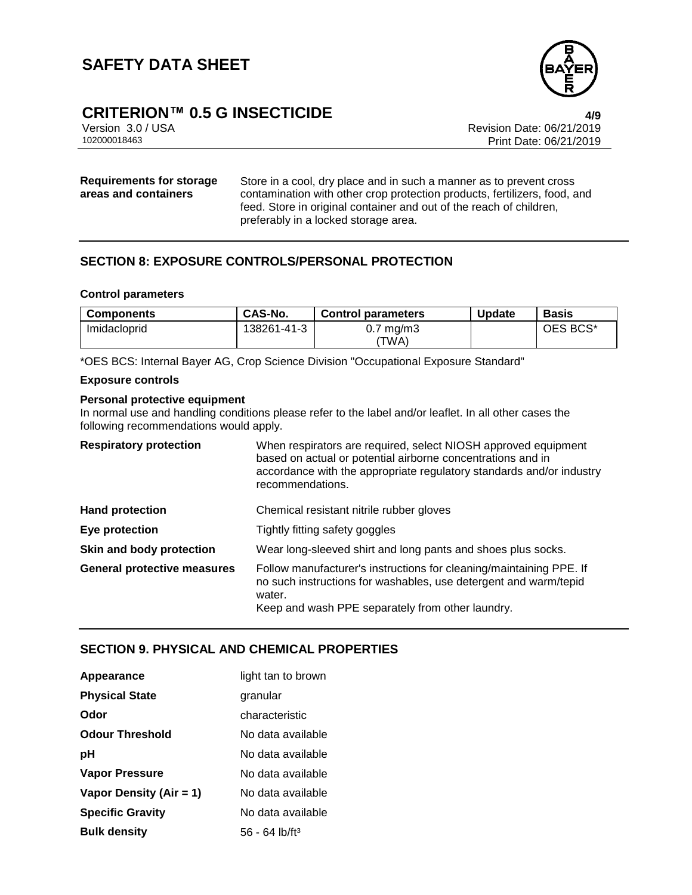

# **CRITERION™ 0.5 G INSECTICIDE 4/9**

Version 3.0 / USA Revision Date: 06/21/2019 Print Date: 06/21/2019

### **Requirements for storage areas and containers**

Store in a cool, dry place and in such a manner as to prevent cross contamination with other crop protection products, fertilizers, food, and feed. Store in original container and out of the reach of children, preferably in a locked storage area.

# **SECTION 8: EXPOSURE CONTROLS/PERSONAL PROTECTION**

### **Control parameters**

| <b>Components</b> | CAS-No.     | Control parameters            | <b>Update</b> | <b>Basis</b> |
|-------------------|-------------|-------------------------------|---------------|--------------|
| Imidacloprid      | 138261-41-3 | $0.7 \text{ mg/m}$ 3<br>'TWA) |               | OES BCS*     |

\*OES BCS: Internal Bayer AG, Crop Science Division "Occupational Exposure Standard"

### **Exposure controls**

### **Personal protective equipment**

In normal use and handling conditions please refer to the label and/or leaflet. In all other cases the following recommendations would apply.

| <b>Respiratory protection</b>      | When respirators are required, select NIOSH approved equipment<br>based on actual or potential airborne concentrations and in<br>accordance with the appropriate regulatory standards and/or industry<br>recommendations. |
|------------------------------------|---------------------------------------------------------------------------------------------------------------------------------------------------------------------------------------------------------------------------|
| <b>Hand protection</b>             | Chemical resistant nitrile rubber gloves                                                                                                                                                                                  |
| Eye protection                     | Tightly fitting safety goggles                                                                                                                                                                                            |
| Skin and body protection           | Wear long-sleeved shirt and long pants and shoes plus socks.                                                                                                                                                              |
| <b>General protective measures</b> | Follow manufacturer's instructions for cleaning/maintaining PPE. If<br>no such instructions for washables, use detergent and warm/tepid<br>water.<br>Keep and wash PPE separately from other laundry.                     |

### **SECTION 9. PHYSICAL AND CHEMICAL PROPERTIES**

| Appearance              | light tan to brown           |
|-------------------------|------------------------------|
| <b>Physical State</b>   | granular                     |
| Odor                    | characteristic               |
| <b>Odour Threshold</b>  | No data available            |
| рH                      | No data available            |
| <b>Vapor Pressure</b>   | No data available            |
| Vapor Density (Air = 1) | No data available            |
| <b>Specific Gravity</b> | No data available            |
| <b>Bulk density</b>     | $56 - 64$ lb/ft <sup>3</sup> |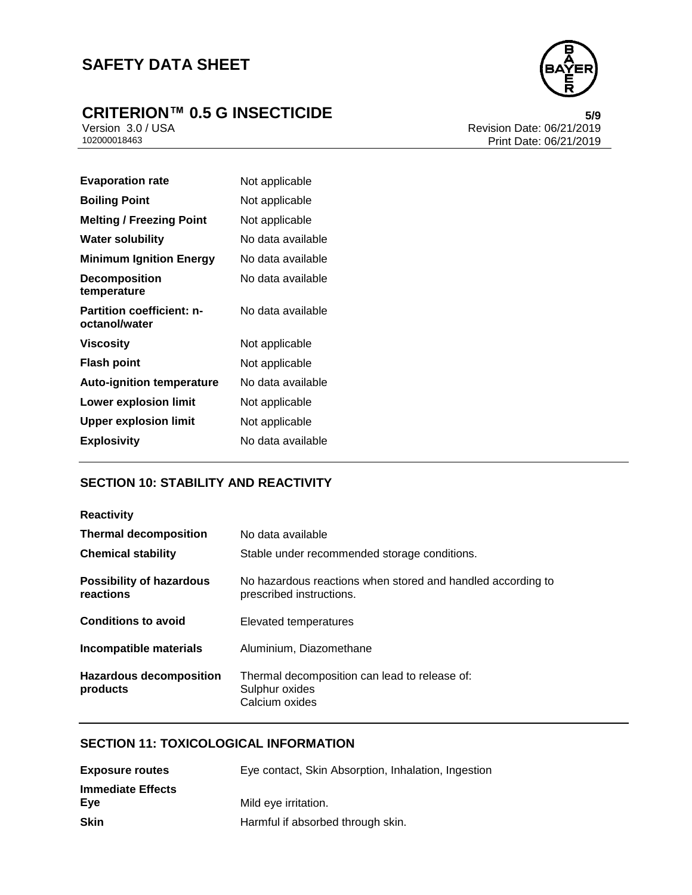# **SAFETY DATA SHEET**

# **CRITERION™ 0.5 G INSECTICIDE**<br>Version 3.0 / USA **b** Revision Date: 06/21/2019



Version 3.0 / USA Revision Date: 06/21/2019<br>102000018463 Print Date: 06/21/2019 Print Date: 06/21/2019

| Not applicable    |
|-------------------|
| Not applicable    |
| Not applicable    |
| No data available |
| No data available |
| No data available |
| No data available |
| Not applicable    |
| Not applicable    |
| No data available |
| Not applicable    |
| Not applicable    |
| No data available |
|                   |

# **SECTION 10: STABILITY AND REACTIVITY**

| <b>Reactivity</b>                            |                                                                                         |  |  |
|----------------------------------------------|-----------------------------------------------------------------------------------------|--|--|
| <b>Thermal decomposition</b>                 | No data available                                                                       |  |  |
| <b>Chemical stability</b>                    | Stable under recommended storage conditions.                                            |  |  |
| <b>Possibility of hazardous</b><br>reactions | No hazardous reactions when stored and handled according to<br>prescribed instructions. |  |  |
| <b>Conditions to avoid</b>                   | Elevated temperatures                                                                   |  |  |
| Incompatible materials                       | Aluminium, Diazomethane                                                                 |  |  |
| <b>Hazardous decomposition</b><br>products   | Thermal decomposition can lead to release of:<br>Sulphur oxides<br>Calcium oxides       |  |  |

### **SECTION 11: TOXICOLOGICAL INFORMATION**

| <b>Exposure routes</b>   | Eye contact, Skin Absorption, Inhalation, Ingestion |
|--------------------------|-----------------------------------------------------|
| <b>Immediate Effects</b> |                                                     |
| Eve                      | Mild eye irritation.                                |
| Skin                     | Harmful if absorbed through skin.                   |
|                          |                                                     |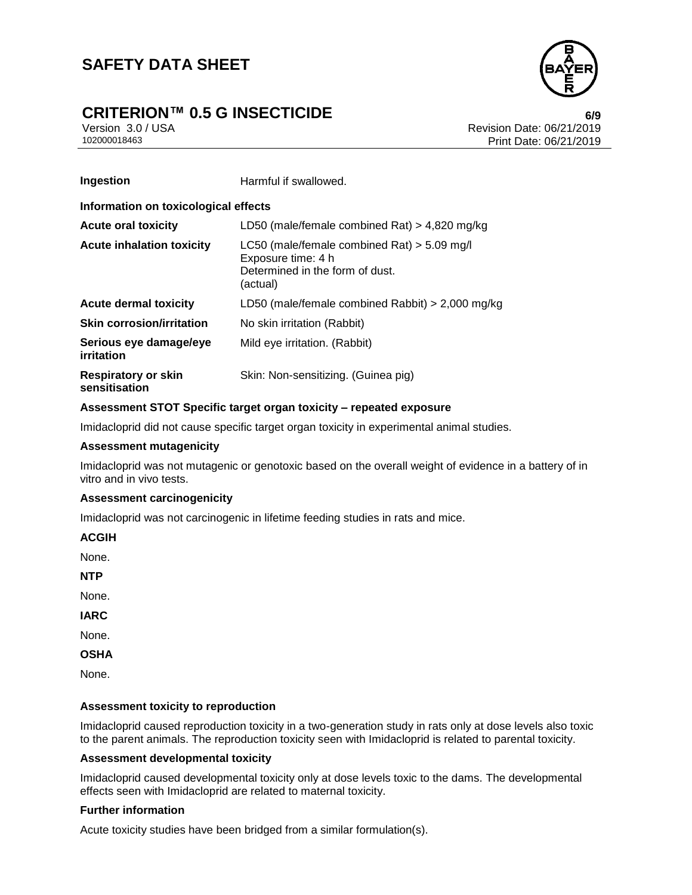# **CRITERION™ 0.5 G INSECTICIDE 6/9**



Version 3.0 / USA Revision Date: 06/21/2019<br>102000018463 Print Date: 06/21/2019 Print Date: 06/21/2019

| Ingestion                                   | Harmful if swallowed.                                                                                              |  |  |
|---------------------------------------------|--------------------------------------------------------------------------------------------------------------------|--|--|
| Information on toxicological effects        |                                                                                                                    |  |  |
| <b>Acute oral toxicity</b>                  | LD50 (male/female combined Rat) $>$ 4,820 mg/kg                                                                    |  |  |
| <b>Acute inhalation toxicity</b>            | LC50 (male/female combined Rat) $>$ 5.09 mg/l<br>Exposure time: 4 h<br>Determined in the form of dust.<br>(actual) |  |  |
| <b>Acute dermal toxicity</b>                | LD50 (male/female combined Rabbit) $>$ 2,000 mg/kg                                                                 |  |  |
| <b>Skin corrosion/irritation</b>            | No skin irritation (Rabbit)                                                                                        |  |  |
| Serious eye damage/eye<br>irritation        | Mild eye irritation. (Rabbit)                                                                                      |  |  |
| <b>Respiratory or skin</b><br>sensitisation | Skin: Non-sensitizing. (Guinea pig)                                                                                |  |  |

### **Assessment STOT Specific target organ toxicity – repeated exposure**

Imidacloprid did not cause specific target organ toxicity in experimental animal studies.

### **Assessment mutagenicity**

Imidacloprid was not mutagenic or genotoxic based on the overall weight of evidence in a battery of in vitro and in vivo tests.

### **Assessment carcinogenicity**

Imidacloprid was not carcinogenic in lifetime feeding studies in rats and mice.

**ACGIH**

None.

**NTP**

None.

**IARC**

None.

**OSHA**

None.

### **Assessment toxicity to reproduction**

Imidacloprid caused reproduction toxicity in a two-generation study in rats only at dose levels also toxic to the parent animals. The reproduction toxicity seen with Imidacloprid is related to parental toxicity.

### **Assessment developmental toxicity**

Imidacloprid caused developmental toxicity only at dose levels toxic to the dams. The developmental effects seen with Imidacloprid are related to maternal toxicity.

### **Further information**

Acute toxicity studies have been bridged from a similar formulation(s).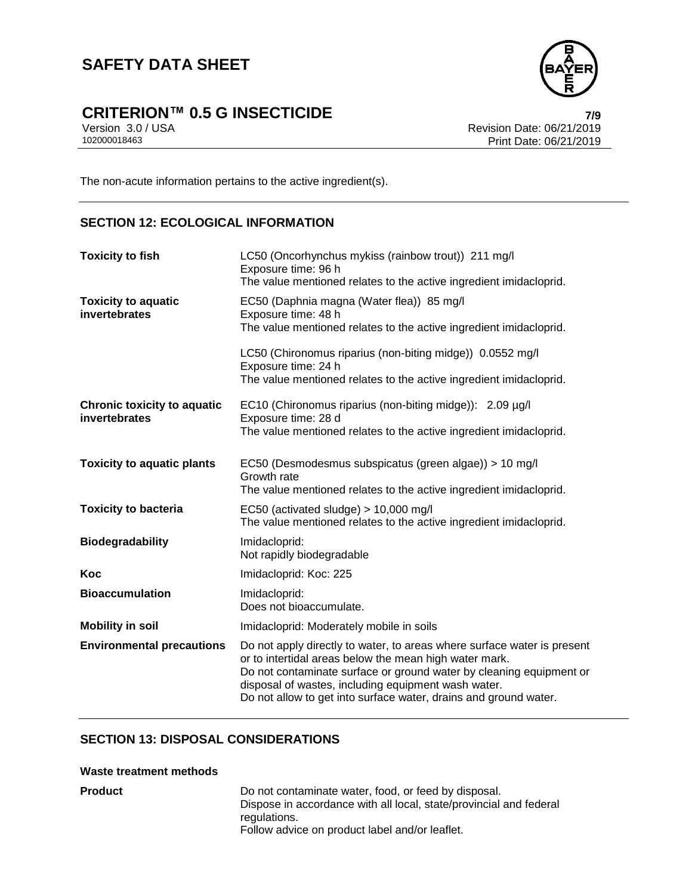# **SAFETY DATA SHEET**

# **CRITERION™ 0.5 G INSECTICIDE**<br>Version 3.0 / USA *T/9*<br>Revision Date: 06/21/2019



Version 3.0 / USA Revision Date: 06/21/2019 Print Date: 06/21/2019

The non-acute information pertains to the active ingredient(s).

### **SECTION 12: ECOLOGICAL INFORMATION**

| <b>Toxicity to fish</b>                             | LC50 (Oncorhynchus mykiss (rainbow trout)) 211 mg/l<br>Exposure time: 96 h<br>The value mentioned relates to the active ingredient imidacloprid.                                                                                                                                                                                    |  |
|-----------------------------------------------------|-------------------------------------------------------------------------------------------------------------------------------------------------------------------------------------------------------------------------------------------------------------------------------------------------------------------------------------|--|
| <b>Toxicity to aquatic</b><br>invertebrates         | EC50 (Daphnia magna (Water flea)) 85 mg/l<br>Exposure time: 48 h<br>The value mentioned relates to the active ingredient imidacloprid.                                                                                                                                                                                              |  |
|                                                     | LC50 (Chironomus riparius (non-biting midge)) 0.0552 mg/l<br>Exposure time: 24 h<br>The value mentioned relates to the active ingredient imidacloprid.                                                                                                                                                                              |  |
| <b>Chronic toxicity to aquatic</b><br>invertebrates | EC10 (Chironomus riparius (non-biting midge)): 2.09 µg/l<br>Exposure time: 28 d                                                                                                                                                                                                                                                     |  |
|                                                     | The value mentioned relates to the active ingredient imidacloprid.                                                                                                                                                                                                                                                                  |  |
| <b>Toxicity to aquatic plants</b>                   | EC50 (Desmodesmus subspicatus (green algae)) > 10 mg/l<br>Growth rate<br>The value mentioned relates to the active ingredient imidacloprid.                                                                                                                                                                                         |  |
| <b>Toxicity to bacteria</b>                         | EC50 (activated sludge) > 10,000 mg/l<br>The value mentioned relates to the active ingredient imidacloprid.                                                                                                                                                                                                                         |  |
| <b>Biodegradability</b>                             | Imidacloprid:<br>Not rapidly biodegradable                                                                                                                                                                                                                                                                                          |  |
| Koc                                                 | Imidacloprid: Koc: 225                                                                                                                                                                                                                                                                                                              |  |
| <b>Bioaccumulation</b>                              | Imidacloprid:<br>Does not bioaccumulate.                                                                                                                                                                                                                                                                                            |  |
| <b>Mobility in soil</b>                             | Imidacloprid: Moderately mobile in soils                                                                                                                                                                                                                                                                                            |  |
| <b>Environmental precautions</b>                    | Do not apply directly to water, to areas where surface water is present<br>or to intertidal areas below the mean high water mark.<br>Do not contaminate surface or ground water by cleaning equipment or<br>disposal of wastes, including equipment wash water.<br>Do not allow to get into surface water, drains and ground water. |  |

## **SECTION 13: DISPOSAL CONSIDERATIONS**

### **Waste treatment methods**

| <b>Product</b> | Do not contaminate water, food, or feed by disposal.               |
|----------------|--------------------------------------------------------------------|
|                | Dispose in accordance with all local, state/provincial and federal |
|                | regulations.                                                       |
|                | Follow advice on product label and/or leaflet.                     |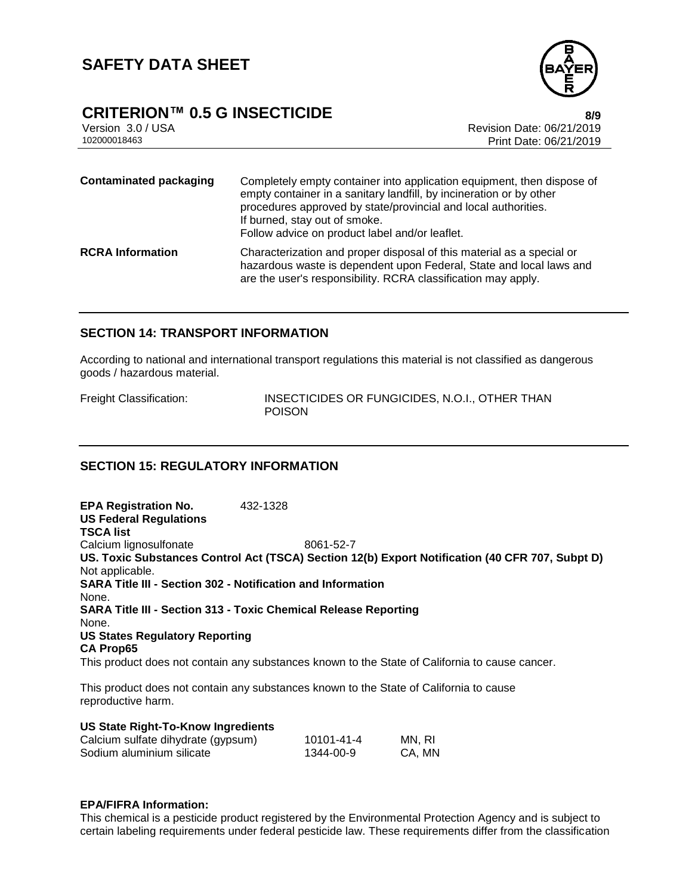

# **CRITERION™ 0.5 G INSECTICIDE 8/9**

Version 3.0 / USA Revision Date: 06/21/2019<br>102000018463 Print Date: 06/21/2019 Print Date: 06/21/2019

| <b>Contaminated packaging</b> | Completely empty container into application equipment, then dispose of<br>empty container in a sanitary landfill, by incineration or by other<br>procedures approved by state/provincial and local authorities.<br>If burned, stay out of smoke.<br>Follow advice on product label and/or leaflet. |
|-------------------------------|----------------------------------------------------------------------------------------------------------------------------------------------------------------------------------------------------------------------------------------------------------------------------------------------------|
| <b>RCRA</b> Information       | Characterization and proper disposal of this material as a special or<br>hazardous waste is dependent upon Federal, State and local laws and<br>are the user's responsibility. RCRA classification may apply.                                                                                      |

### **SECTION 14: TRANSPORT INFORMATION**

According to national and international transport regulations this material is not classified as dangerous goods / hazardous material.

Freight Classification: INSECTICIDES OR FUNGICIDES, N.O.I., OTHER THAN POISON

# **SECTION 15: REGULATORY INFORMATION**

**EPA Registration No.** 432-1328 **US Federal Regulations TSCA list** Calcium lignosulfonate 8061-52-7 **US. Toxic Substances Control Act (TSCA) Section 12(b) Export Notification (40 CFR 707, Subpt D)** Not applicable. **SARA Title III - Section 302 - Notification and Information** None. **SARA Title III - Section 313 - Toxic Chemical Release Reporting** None. **US States Regulatory Reporting CA Prop65** This product does not contain any substances known to the State of California to cause cancer.

This product does not contain any substances known to the State of California to cause reproductive harm.

### **US State Right-To-Know Ingredients**

| Calcium sulfate dihydrate (gypsum) | 10101-41-4 | MN, RI |
|------------------------------------|------------|--------|
| Sodium aluminium silicate          | 1344-00-9  | CA, MN |

### **EPA/FIFRA Information:**

This chemical is a pesticide product registered by the Environmental Protection Agency and is subject to certain labeling requirements under federal pesticide law. These requirements differ from the classification